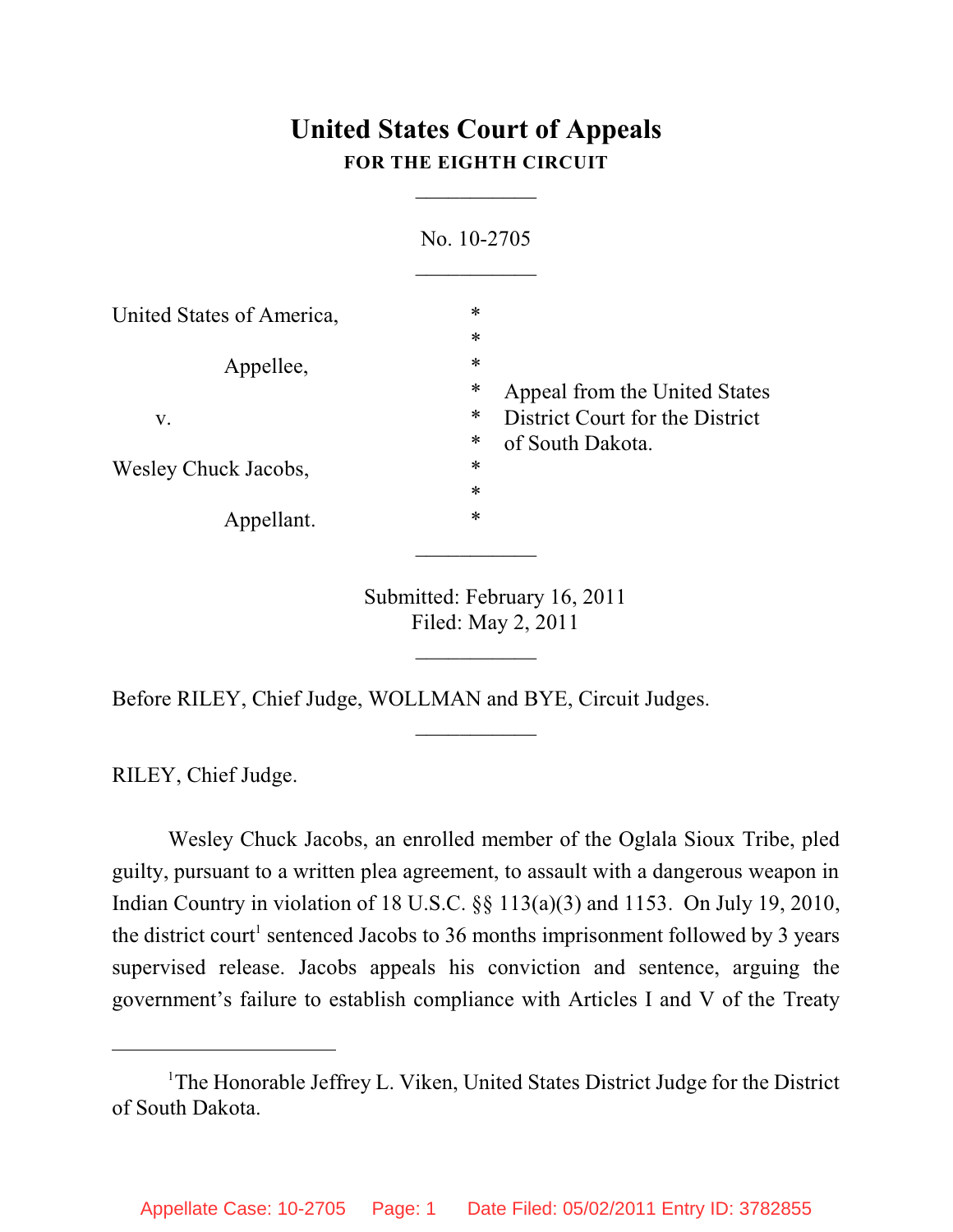## **United States Court of Appeals FOR THE EIGHTH CIRCUIT**

 $\overline{\phantom{a}}$ 

|                           | No. 10-2705 |                                                                                                                                        |
|---------------------------|-------------|----------------------------------------------------------------------------------------------------------------------------------------|
| United States of America, | *           | $\ast$<br>*<br>*<br>Appeal from the United States<br>*<br>District Court for the District<br>*<br>of South Dakota.<br>$\ast$<br>$\ast$ |
| Appellee,                 |             |                                                                                                                                        |
| V.                        |             |                                                                                                                                        |
| Wesley Chuck Jacobs,      |             |                                                                                                                                        |
| Appellant.                | $\ast$      |                                                                                                                                        |

Submitted: February 16, 2011 Filed: May 2, 2011

 $\frac{1}{2}$ 

 $\frac{1}{2}$ 

Before RILEY, Chief Judge, WOLLMAN and BYE, Circuit Judges.

RILEY, Chief Judge.

Wesley Chuck Jacobs, an enrolled member of the Oglala Sioux Tribe, pled guilty, pursuant to a written plea agreement, to assault with a dangerous weapon in Indian Country in violation of 18 U.S.C. §§ 113(a)(3) and 1153. On July 19, 2010, the district court<sup>1</sup> sentenced Jacobs to 36 months imprisonment followed by 3 years supervised release. Jacobs appeals his conviction and sentence, arguing the government's failure to establish compliance with Articles I and V of the Treaty

<sup>&</sup>lt;sup>1</sup>The Honorable Jeffrey L. Viken, United States District Judge for the District of South Dakota.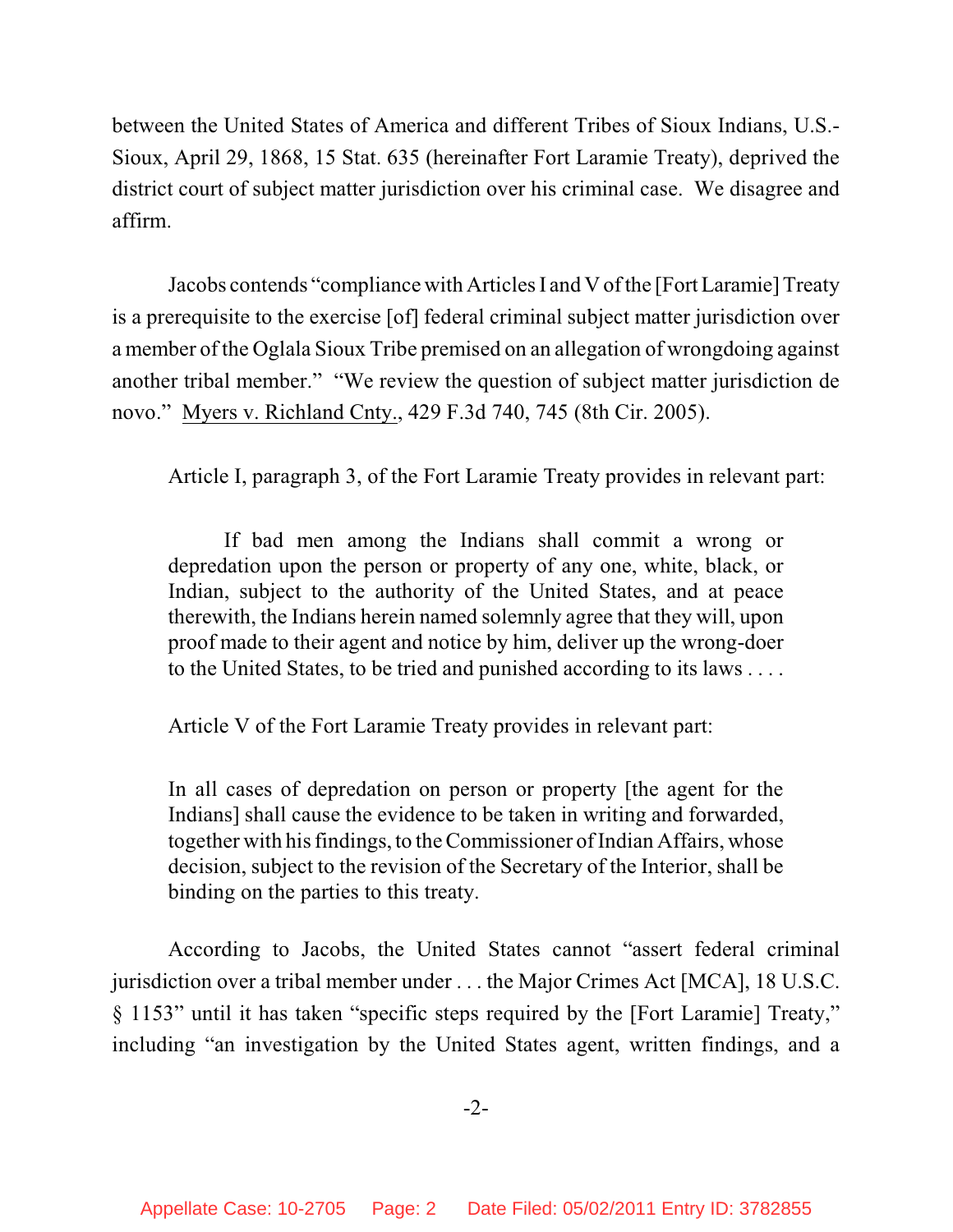between the United States of America and different Tribes of Sioux Indians, U.S.- Sioux, April 29, 1868, 15 Stat. 635 (hereinafter Fort Laramie Treaty), deprived the district court of subject matter jurisdiction over his criminal case. We disagree and affirm.

Jacobs contends "compliance with ArticlesI and V ofthe [Fort Laramie] Treaty is a prerequisite to the exercise [of] federal criminal subject matter jurisdiction over a member of the Oglala Sioux Tribe premised on an allegation of wrongdoing against another tribal member." "We review the question of subject matter jurisdiction de novo." Myers v. Richland Cnty., 429 F.3d 740, 745 (8th Cir. 2005).

Article I, paragraph 3, of the Fort Laramie Treaty provides in relevant part:

If bad men among the Indians shall commit a wrong or depredation upon the person or property of any one, white, black, or Indian, subject to the authority of the United States, and at peace therewith, the Indians herein named solemnly agree that they will, upon proof made to their agent and notice by him, deliver up the wrong-doer to the United States, to be tried and punished according to its laws . . . .

Article V of the Fort Laramie Treaty provides in relevant part:

In all cases of depredation on person or property [the agent for the Indians] shall cause the evidence to be taken in writing and forwarded, together with his findings, to the Commissioner of Indian Affairs, whose decision, subject to the revision of the Secretary of the Interior, shall be binding on the parties to this treaty.

According to Jacobs, the United States cannot "assert federal criminal jurisdiction over a tribal member under . . . the Major Crimes Act [MCA], 18 U.S.C. § 1153" until it has taken "specific steps required by the [Fort Laramie] Treaty," including "an investigation by the United States agent, written findings, and a

-2-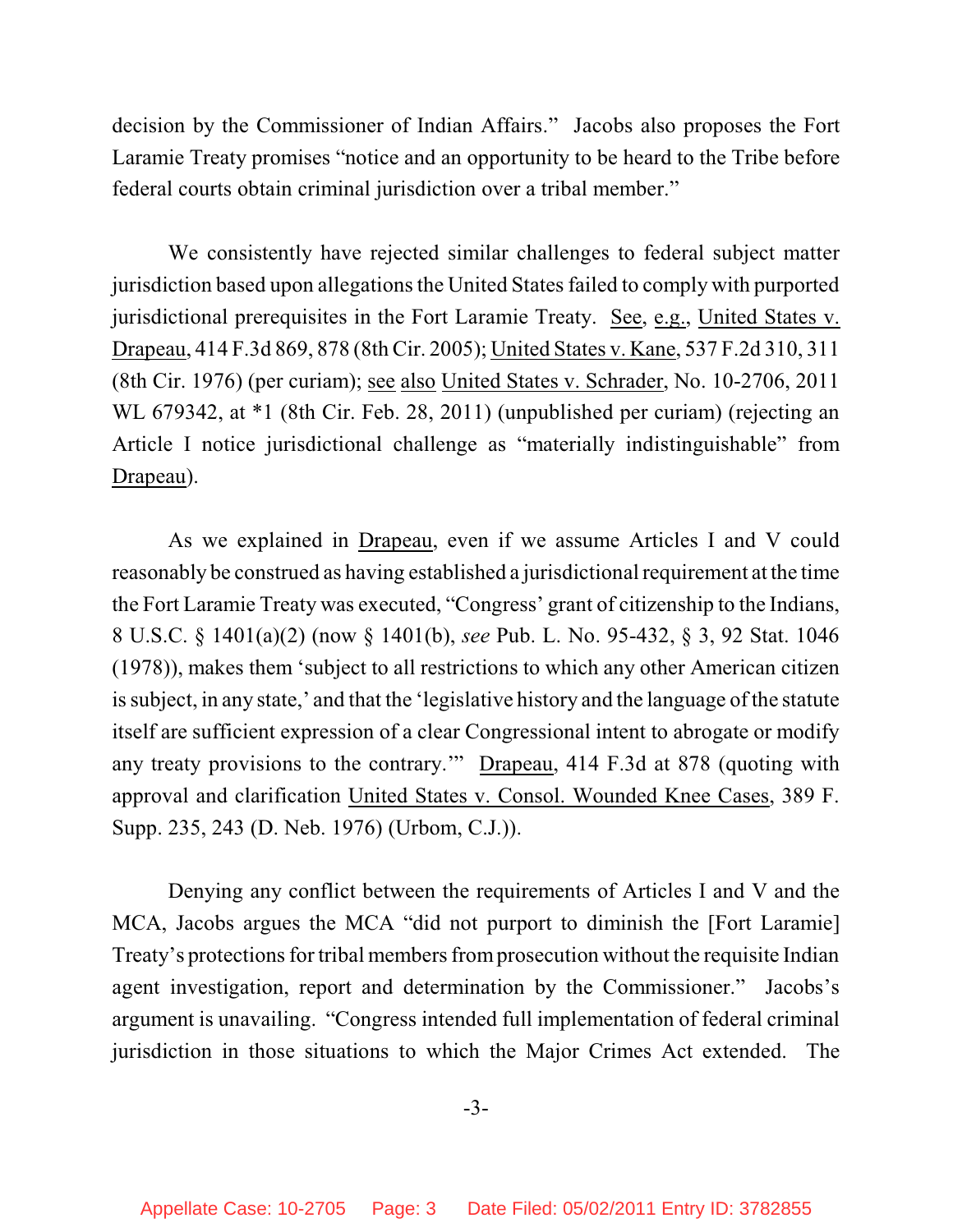decision by the Commissioner of Indian Affairs." Jacobs also proposes the Fort Laramie Treaty promises "notice and an opportunity to be heard to the Tribe before federal courts obtain criminal jurisdiction over a tribal member."

We consistently have rejected similar challenges to federal subject matter jurisdiction based upon allegations the United States failed to comply with purported jurisdictional prerequisites in the Fort Laramie Treaty. See, e.g., United States v. Drapeau, 414 F.3d 869, 878 (8th Cir. 2005); United States v. Kane, 537 F.2d 310, 311 (8th Cir. 1976) (per curiam); see also United States v. Schrader, No. 10-2706, 2011 WL 679342, at \*1 (8th Cir. Feb. 28, 2011) (unpublished per curiam) (rejecting an Article I notice jurisdictional challenge as "materially indistinguishable" from Drapeau).

As we explained in Drapeau, even if we assume Articles I and V could reasonably be construed as having established a jurisdictional requirement at the time the Fort Laramie Treaty was executed, "Congress' grant of citizenship to the Indians, 8 U.S.C. § 1401(a)(2) (now § 1401(b), *see* Pub. L. No. 95-432, § 3, 92 Stat. 1046 (1978)), makes them 'subject to all restrictions to which any other American citizen issubject, in any state,' and that the 'legislative history and the language of the statute itself are sufficient expression of a clear Congressional intent to abrogate or modify any treaty provisions to the contrary.'" Drapeau, 414 F.3d at 878 (quoting with approval and clarification United States v. Consol. Wounded Knee Cases, 389 F. Supp. 235, 243 (D. Neb. 1976) (Urbom, C.J.)).

Denying any conflict between the requirements of Articles I and V and the MCA, Jacobs argues the MCA "did not purport to diminish the [Fort Laramie] Treaty's protections for tribal members from prosecution without the requisite Indian agent investigation, report and determination by the Commissioner." Jacobs's argument is unavailing. "Congress intended full implementation of federal criminal jurisdiction in those situations to which the Major Crimes Act extended. The